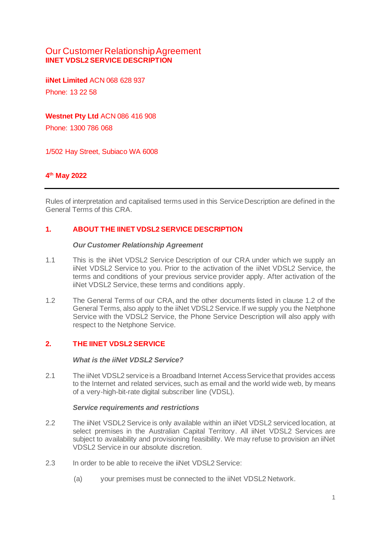# Our Customer Relationship Agreement **IINET VDSL2 SERVICE DESCRIPTION**

**iiNet Limited** ACN 068 628 937 Phone: 13 22 58

## **Westnet Pty Ltd** ACN 086 416 908

Phone: 1300 786 068

1/502 Hay Street, Subiaco WA 6008

## **4 th May 2022**

Rules of interpretation and capitalised terms used in this Service Description are defined in the General Terms of this CRA.

## **1. ABOUT THE IINET VDSL2 SERVICE DESCRIPTION**

#### *Our Customer Relationship Agreement*

- 1.1 This is the iiNet VDSL2 Service Description of our CRA under which we supply an iiNet VDSL2 Service to you. Prior to the activation of the iiNet VDSL2 Service, the terms and conditions of your previous service provider apply. After activation of the iiNet VDSL2 Service, these terms and conditions apply.
- 1.2 The General Terms of our CRA, and the other documents listed in clause 1.2 of the General Terms, also apply to the iiNet VDSL2 Service.If we supply you the Netphone Service with the VDSL2 Service, the Phone Service Description will also apply with respect to the Netphone Service.

### **2. THE IINET VDSL2 SERVICE**

#### *What is the iiNet VDSL2 Service?*

2.1 The iiNet VDSL2 service is a Broadband Internet Access Service that provides access to the Internet and related services, such as email and the world wide web, by means of a very-high-bit-rate digital subscriber line (VDSL).

#### *Service requirements and restrictions*

- 2.2 The iiNet VSDL2 Service is only available within an iiNet VDSL2 serviced location, at select premises in the Australian Capital Territory. All iiNet VDSL2 Services are subject to availability and provisioning feasibility. We may refuse to provision an iiNet VDSL2 Service in our absolute discretion.
- 2.3 In order to be able to receive the iiNet VDSL2 Service:
	- (a) your premises must be connected to the iiNet VDSL2 Network.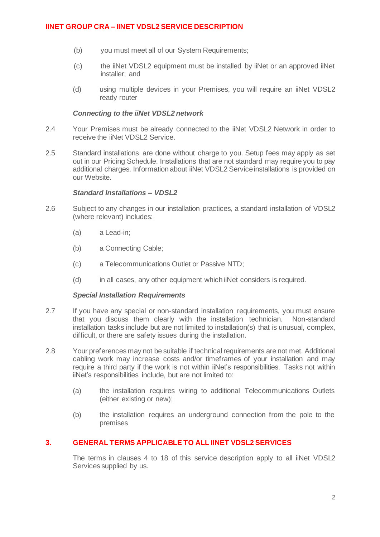- (b) you must meet all of our System Requirements;
- (c) the iiNet VDSL2 equipment must be installed by iiNet or an approved iiNet installer; and
- (d) using multiple devices in your Premises, you will require an iiNet VDSL2 ready router

### *Connecting to the iiNet VDSL2 network*

- 2.4 Your Premises must be already connected to the iiNet VDSL2 Network in order to receive the iiNet VDSL2 Service.
- 2.5 Standard installations are done without charge to you. Setup fees may apply as set out in our Pricing Schedule. Installations that are not standard may require you to pay additional charges. Information about iiNet VDSL2 Service installations is provided on our Website.

### *Standard Installations – VDSL2*

- 2.6 Subject to any changes in our installation practices, a standard installation of VDSL2 (where relevant) includes:
	- (a) a Lead-in;
	- (b) a Connecting Cable;
	- (c) a Telecommunications Outlet or Passive NTD;
	- (d) in all cases, any other equipment which iiNet considers is required.

#### *Special Installation Requirements*

- 2.7 If you have any special or non-standard installation requirements, you must ensure that you discuss them clearly with the installation technician. Non-standard installation tasks include but are not limited to installation(s) that is unusual, complex, difficult, or there are safety issues during the installation.
- 2.8 Your preferences may not be suitable if technical requirements are not met. Additional cabling work may increase costs and/or timeframes of your installation and may require a third party if the work is not within iiNet's responsibilities. Tasks not within iiNet's responsibilities include, but are not limited to:
	- (a) the installation requires wiring to additional Telecommunications Outlets (either existing or new);
	- (b) the installation requires an underground connection from the pole to the premises

### **3. GENERAL TERMS APPLICABLE TO ALL IINET VDSL2 SERVICES**

The terms in clauses 4 to 18 of this service description apply to all iiNet VDSL2 Services supplied by us.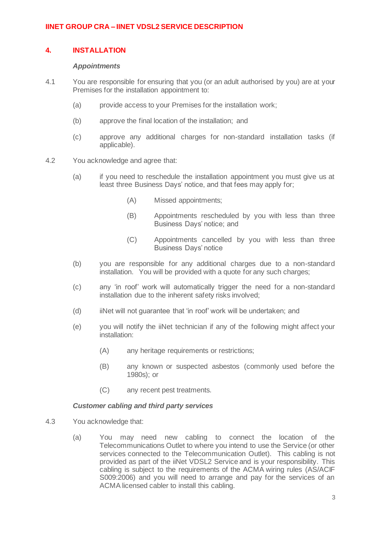## **4. INSTALLATION**

### *Appointments*

- 4.1 You are responsible for ensuring that you (or an adult authorised by you) are at your Premises for the installation appointment to:
	- (a) provide access to your Premises for the installation work;
	- (b) approve the final location of the installation; and
	- (c) approve any additional charges for non-standard installation tasks (if applicable).
- 4.2 You acknowledge and agree that:
	- (a) if you need to reschedule the installation appointment you must give us at least three Business Days' notice, and that fees may apply for;
		- (A) Missed appointments;
		- (B) Appointments rescheduled by you with less than three Business Days' notice; and
		- (C) Appointments cancelled by you with less than three Business Days' notice
	- (b) you are responsible for any additional charges due to a non-standard installation. You will be provided with a quote for any such charges;
	- (c) any 'in roof' work will automatically trigger the need for a non-standard installation due to the inherent safety risks involved;
	- (d) iiNet will not guarantee that 'in roof' work will be undertaken; and
	- (e) you will notify the iiNet technician if any of the following might affect your installation:
		- (A) any heritage requirements or restrictions;
		- (B) any known or suspected asbestos (commonly used before the 1980s); or
		- (C) any recent pest treatments.

#### *Customer cabling and third party services*

- 4.3 You acknowledge that:
	- (a) You may need new cabling to connect the location of the Telecommunications Outlet to where you intend to use the Service (or other services connected to the Telecommunication Outlet). This cabling is not provided as part of the iiNet VDSL2 Service and is your responsibility. This cabling is subject to the requirements of the ACMA wiring rules (AS/ACIF S009:2006) and you will need to arrange and pay for the services of an ACMA licensed cabler to install this cabling.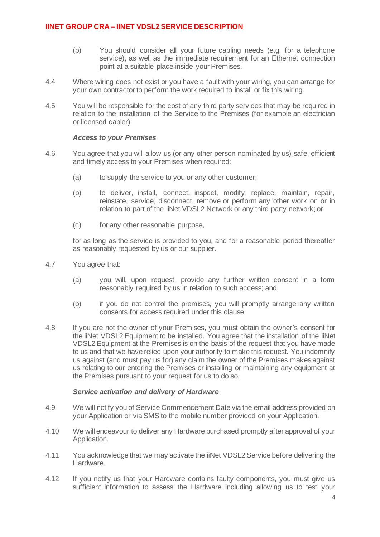- (b) You should consider all your future cabling needs (e.g. for a telephone service), as well as the immediate requirement for an Ethernet connection point at a suitable place inside your Premises.
- 4.4 Where wiring does not exist or you have a fault with your wiring, you can arrange for your own contractor to perform the work required to install or fix this wiring.
- 4.5 You will be responsible for the cost of any third party services that may be required in relation to the installation of the Service to the Premises (for example an electrician or licensed cabler).

#### *Access to your Premises*

- 4.6 You agree that you will allow us (or any other person nominated by us) safe, efficient and timely access to your Premises when required:
	- (a) to supply the service to you or any other customer;
	- (b) to deliver, install, connect, inspect, modify, replace, maintain, repair, reinstate, service, disconnect, remove or perform any other work on or in relation to part of the iiNet VDSL2 Network or any third party network; or
	- (c) for any other reasonable purpose,

for as long as the service is provided to you, and for a reasonable period thereafter as reasonably requested by us or our supplier.

- 4.7 You agree that:
	- (a) you will, upon request, provide any further written consent in a form reasonably required by us in relation to such access; and
	- (b) if you do not control the premises, you will promptly arrange any written consents for access required under this clause.
- 4.8 If you are not the owner of your Premises, you must obtain the owner's consent for the iiNet VDSL2 Equipment to be installed. You agree that the installation of the iiNet VDSL2 Equipment at the Premises is on the basis of the request that you have made to us and that we have relied upon your authority to make this request. You indemnify us against (and must pay us for) any claim the owner of the Premises makes against us relating to our entering the Premises or installing or maintaining any equipment at the Premises pursuant to your request for us to do so.

#### *Service activation and delivery of Hardware*

- 4.9 We will notify you of Service Commencement Date via the email address provided on your Application or via SMS to the mobile number provided on your Application.
- 4.10 We will endeavour to deliver any Hardware purchased promptly after approval of your Application.
- 4.11 You acknowledge that we may activate the iiNet VDSL2 Service before delivering the Hardware.
- 4.12 If you notify us that your Hardware contains faulty components, you must give us sufficient information to assess the Hardware including allowing us to test your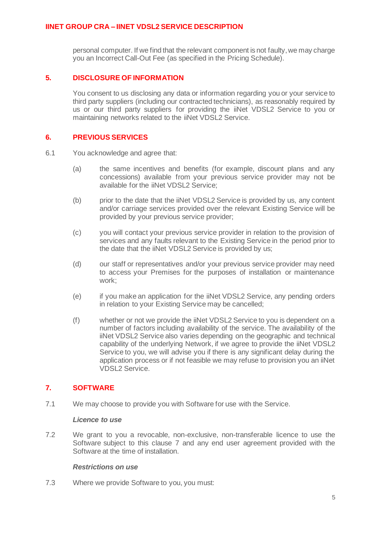personal computer. If we find that the relevant component is not faulty, we may charge you an Incorrect Call-Out Fee (as specified in the Pricing Schedule).

## **5. DISCLOSURE OF INFORMATION**

You consent to us disclosing any data or information regarding you or your service to third party suppliers (including our contracted technicians), as reasonably required by us or our third party suppliers for providing the iiNet VDSL2 Service to you or maintaining networks related to the iiNet VDSL2 Service.

## **6. PREVIOUS SERVICES**

- 6.1 You acknowledge and agree that:
	- (a) the same incentives and benefits (for example, discount plans and any concessions) available from your previous service provider may not be available for the iiNet VDSL2 Service;
	- (b) prior to the date that the iiNet VDSL2 Service is provided by us, any content and/or carriage services provided over the relevant Existing Service will be provided by your previous service provider;
	- (c) you will contact your previous service provider in relation to the provision of services and any faults relevant to the Existing Service in the period prior to the date that the iiNet VDSL2 Service is provided by us;
	- (d) our staff or representatives and/or your previous service provider may need to access your Premises for the purposes of installation or maintenance work;
	- (e) if you make an application for the iiNet VDSL2 Service, any pending orders in relation to your Existing Service may be cancelled;
	- (f) whether or not we provide the iiNet VDSL2 Service to you is dependent on a number of factors including availability of the service. The availability of the iiNet VDSL2 Service also varies depending on the geographic and technical capability of the underlying Network, if we agree to provide the iiNet VDSL2 Service to you, we will advise you if there is any significant delay during the application process or if not feasible we may refuse to provision you an iiNet VDSL2 Service.

# <span id="page-4-0"></span>**7. SOFTWARE**

7.1 We may choose to provide you with Software for use with the Service.

#### *Licence to use*

7.2 We grant to you a revocable, non-exclusive, non-transferable licence to use the Software subject to this clause [7](#page-4-0) and any end user agreement provided with the Software at the time of installation.

### *Restrictions on use*

7.3 Where we provide Software to you, you must: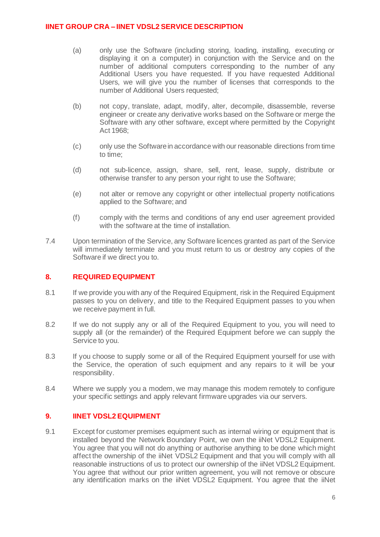- (a) only use the Software (including storing, loading, installing, executing or displaying it on a computer) in conjunction with the Service and on the number of additional computers corresponding to the number of any Additional Users you have requested. If you have requested Additional Users, we will give you the number of licenses that corresponds to the number of Additional Users requested;
- (b) not copy, translate, adapt, modify, alter, decompile, disassemble, reverse engineer or create any derivative works based on the Software or merge the Software with any other software, except where permitted by the Copyright Act 1968;
- (c) only use the Software in accordance with our reasonable directions from time to time;
- (d) not sub-licence, assign, share, sell, rent, lease, supply, distribute or otherwise transfer to any person your right to use the Software;
- (e) not alter or remove any copyright or other intellectual property notifications applied to the Software; and
- (f) comply with the terms and conditions of any end user agreement provided with the software at the time of installation.
- 7.4 Upon termination of the Service, any Software licences granted as part of the Service will immediately terminate and you must return to us or destroy any copies of the Software if we direct you to.

### **8. REQUIRED EQUIPMENT**

- 8.1 If we provide you with any of the Required Equipment, risk in the Required Equipment passes to you on delivery, and title to the Required Equipment passes to you when we receive payment in full.
- 8.2 If we do not supply any or all of the Required Equipment to you, you will need to supply all (or the remainder) of the Required Equipment before we can supply the Service to you.
- 8.3 If you choose to supply some or all of the Required Equipment yourself for use with the Service, the operation of such equipment and any repairs to it will be your responsibility.
- 8.4 Where we supply you a modem, we may manage this modem remotely to configure your specific settings and apply relevant firmware upgrades via our servers.

# **9. IINET VDSL2 EQUIPMENT**

9.1 Except for customer premises equipment such as internal wiring or equipment that is installed beyond the Network Boundary Point, we own the iiNet VDSL2 Equipment. You agree that you will not do anything or authorise anything to be done which might affect the ownership of the iiNet VDSL2 Equipment and that you will comply with all reasonable instructions of us to protect our ownership of the iiNet VDSL2 Equipment. You agree that without our prior written agreement, you will not remove or obscure any identification marks on the iiNet VDSL2 Equipment. You agree that the iiNet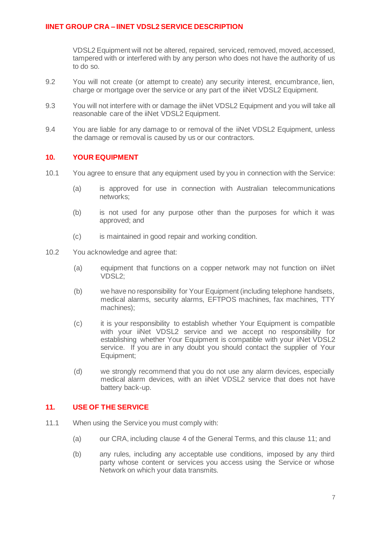VDSL2 Equipment will not be altered, repaired, serviced, removed, moved, accessed, tampered with or interfered with by any person who does not have the authority of us to do so.

- 9.2 You will not create (or attempt to create) any security interest, encumbrance, lien, charge or mortgage over the service or any part of the iiNet VDSL2 Equipment.
- 9.3 You will not interfere with or damage the iiNet VDSL2 Equipment and you will take all reasonable care of the iiNet VDSL2 Equipment.
- 9.4 You are liable for any damage to or removal of the iiNet VDSL2 Equipment, unless the damage or removal is caused by us or our contractors.

## **10. YOUR EQUIPMENT**

- 10.1 You agree to ensure that any equipment used by you in connection with the Service:
	- (a) is approved for use in connection with Australian telecommunications networks;
	- (b) is not used for any purpose other than the purposes for which it was approved; and
	- (c) is maintained in good repair and working condition.
- 10.2 You acknowledge and agree that:
	- (a) equipment that functions on a copper network may not function on iiNet VDSL2;
	- (b) we have no responsibility for Your Equipment (including telephone handsets, medical alarms, security alarms, EFTPOS machines, fax machines, TTY machines);
	- (c) it is your responsibility to establish whether Your Equipment is compatible with your iiNet VDSL2 service and we accept no responsibility for establishing whether Your Equipment is compatible with your iiNet VDSL2 service. If you are in any doubt you should contact the supplier of Your Equipment;
	- (d) we strongly recommend that you do not use any alarm devices, especially medical alarm devices, with an iiNet VDSL2 service that does not have battery back-up.

### **11. USE OF THE SERVICE**

- 11.1 When using the Service you must comply with:
	- (a) our CRA, including clause 4 of the General Terms, and this clause 11; and
	- (b) any rules, including any acceptable use conditions, imposed by any third party whose content or services you access using the Service or whose Network on which your data transmits.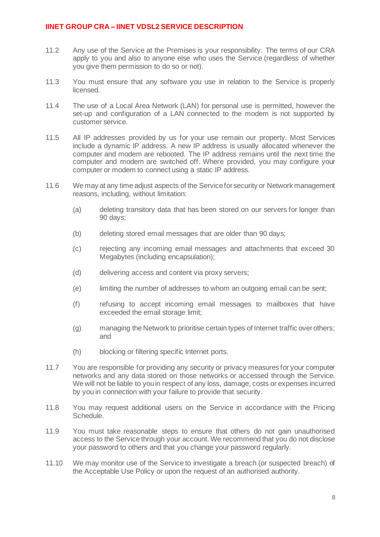- 11.2 Any use of the Service at the Premises is your responsibility. The terms of our CRA apply to you and also to anyone else who uses the Service (regardless of whether you give them permission to do so or not).
- 11.3 You must ensure that any software you use in relation to the Service is properly licensed.
- 11.4 The use of a Local Area Network (LAN) for personal use is permitted, however the set-up and configuration of a LAN connected to the modem is not supported by customer service.
- 11.5 All IP addresses provided by us for your use remain our property. Most Services include a dynamic IP address. A new IP address is usually allocated whenever the computer and modem are rebooted. The IP address remains until the next time the computer and modem are switched off. Where provided, you may configure your computer or modem to connect using a static IP address.
- 11.6 We may at any time adjust aspects of the Service for security or Network management reasons, including, without limitation:
	- (a) deleting transitory data that has been stored on our servers for longer than 90 days;
	- (b) deleting stored email messages that are older than 90 days;
	- (c) rejecting any incoming email messages and attachments that exceed 30 Megabytes (including encapsulation);
	- (d) delivering access and content via proxy servers;
	- (e) limiting the number of addresses to whom an outgoing email can be sent;
	- (f) refusing to accept incoming email messages to mailboxes that have exceeded the email storage limit;
	- (g) managing the Network to prioritise certain types of Internet traffic over others; and
	- (h) blocking or filtering specific Internet ports.
- 11.7 You are responsible for providing any security or privacy measures for your computer networks and any data stored on those networks or accessed through the Service. We will not be liable to you in respect of any loss, damage, costs or expenses incurred by you in connection with your failure to provide that security.
- 11.8 You may request additional users on the Service in accordance with the Pricing Schedule.
- 11.9 You must take reasonable steps to ensure that others do not gain unauthorised access to the Service through your account. We recommend that you do not disclose your password to others and that you change your password regularly.
- 11.10 We may monitor use of the Service to investigate a breach (or suspected breach) of the Acceptable Use Policy or upon the request of an authorised authority.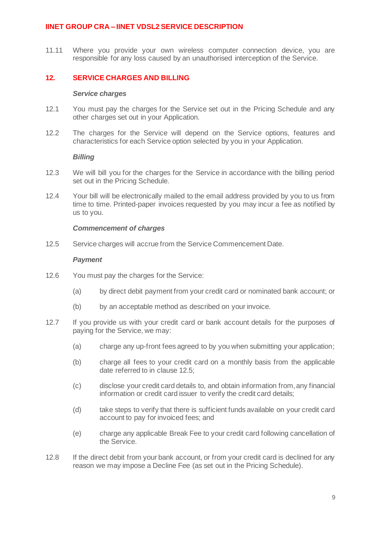11.11 Where you provide your own wireless computer connection device, you are responsible for any loss caused by an unauthorised interception of the Service.

## **12. SERVICE CHARGES AND BILLING**

#### *Service charges*

- 12.1 You must pay the charges for the Service set out in the Pricing Schedule and any other charges set out in your Application.
- 12.2 The charges for the Service will depend on the Service options, features and characteristics for each Service option selected by you in your Application.

#### *Billing*

- 12.3 We will bill you for the charges for the Service in accordance with the billing period set out in the Pricing Schedule.
- 12.4 Your bill will be electronically mailed to the email address provided by you to us from time to time. Printed-paper invoices requested by you may incur a fee as notified by us to you.

### *Commencement of charges*

12.5 Service charges will accrue from the Service Commencement Date.

### *Payment*

- 12.6 You must pay the charges for the Service:
	- (a) by direct debit payment from your credit card or nominated bank account; or
	- (b) by an acceptable method as described on your invoice.
- 12.7 If you provide us with your credit card or bank account details for the purposes of paying for the Service, we may:
	- (a) charge any up-front fees agreed to by you when submitting your application;
	- (b) charge all fees to your credit card on a monthly basis from the applicable date referred to in clause 12.5;
	- (c) disclose your credit card details to, and obtain information from, any financial information or credit card issuer to verify the credit card details;
	- (d) take steps to verify that there is sufficient funds available on your credit card account to pay for invoiced fees; and
	- (e) charge any applicable Break Fee to your credit card following cancellation of the Service.
- 12.8 If the direct debit from your bank account, or from your credit card is declined for any reason we may impose a Decline Fee (as set out in the Pricing Schedule).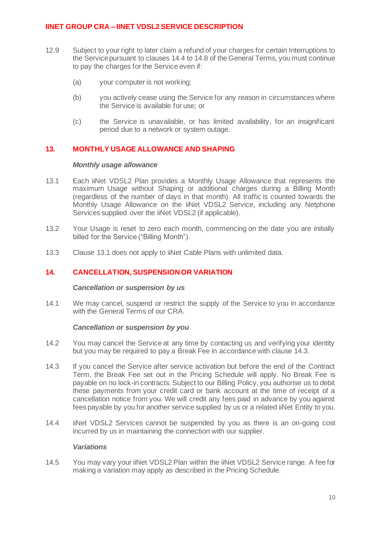- 12.9 Subject to your right to later claim a refund of your charges for certain Interruptions to the Service pursuant to clauses 14.4 to 14.8 of the General Terms, you must continue to pay the charges for the Service even if:
	- (a) your computer is not working;
	- (b) you actively cease using the Service for any reason in circumstances where the Service is available for use; or
	- (c) the Service is unavailable, or has limited availability, for an insignificant period due to a network or system outage.

## **13. MONTHLY USAGE ALLOWANCE AND SHAPING**

### *Monthly usage allowance*

- 13.1 Each iiNet VDSL2 Plan provides a Monthly Usage Allowance that represents the maximum Usage without Shaping or additional charges during a Billing Month (regardless of the number of days in that month). All traffic is counted towards the Monthly Usage Allowance on the iiNet VDSL2 Service, including any Netphone Services supplied over the iiNet VDSL2 (if applicable).
- 13.2 Your Usage is reset to zero each month, commencing on the date you are initially billed for the Service ("Billing Month").
- 13.3 Clause 13.1 does not apply to iiNet Cable Plans with unlimited data.

# **14. CANCELLATION, SUSPENSION OR VARIATION**

#### *Cancellation or suspension by us*

14.1 We may cancel, suspend or restrict the supply of the Service to you in accordance with the General Terms of our CRA.

#### *Cancellation or suspension by you*

- 14.2 You may cancel the Service at any time by contacting us and verifying your identity but you may be required to pay a Break Fee in accordance with clause [14.3.](#page-9-0)
- <span id="page-9-0"></span>14.3 If you cancel the Service after service activation but before the end of the Contract Term, the Break Fee set out in the Pricing Schedule will apply. No Break Fee is payable on no lock-in contracts. Subject to our Billing Policy, you authorise us to debit these payments from your credit card or bank account at the time of receipt of a cancellation notice from you. We will credit any fees paid in advance by you against fees payable by you for another service supplied by us or a related iiNet Entity to you.
- 14.4 iiNet VDSL2 Services cannot be suspended by you as there is an on-going cost incurred by us in maintaining the connection with our supplier.

### *Variations*

14.5 You may vary your iiNet VDSL2 Plan within the iiNet VDSL2 Service range. A fee for making a variation may apply as described in the Pricing Schedule.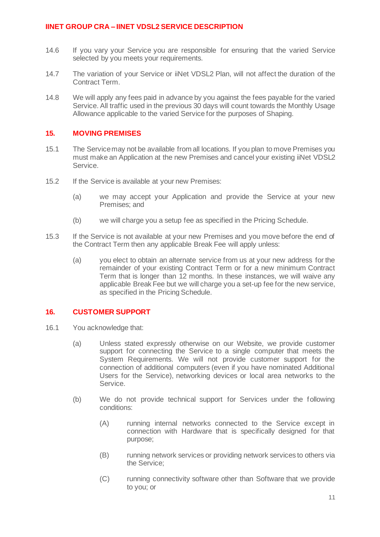- 14.6 If you vary your Service you are responsible for ensuring that the varied Service selected by you meets your requirements.
- 14.7 The variation of your Service or iiNet VDSL2 Plan, will not affect the duration of the Contract Term.
- 14.8 We will apply any fees paid in advance by you against the fees payable for the varied Service. All traffic used in the previous 30 days will count towards the Monthly Usage Allowance applicable to the varied Service for the purposes of Shaping.

### **15. MOVING PREMISES**

- 15.1 The Service may not be available from all locations. If you plan to move Premises you must make an Application at the new Premises and cancel your existing iiNet VDSL2 Service.
- 15.2 If the Service is available at your new Premises:
	- (a) we may accept your Application and provide the Service at your new Premises; and
	- (b) we will charge you a setup fee as specified in the Pricing Schedule.
- 15.3 If the Service is not available at your new Premises and you move before the end of the Contract Term then any applicable Break Fee will apply unless:
	- (a) you elect to obtain an alternate service from us at your new address for the remainder of your existing Contract Term or for a new minimum Contract Term that is longer than 12 months. In these instances, we will waive any applicable Break Fee but we will charge you a set-up fee for the new service, as specified in the Pricing Schedule.

### **16. CUSTOMER SUPPORT**

- 16.1 You acknowledge that:
	- (a) Unless stated expressly otherwise on our Website, we provide customer support for connecting the Service to a single computer that meets the System Requirements. We will not provide customer support for the connection of additional computers (even if you have nominated Additional Users for the Service), networking devices or local area networks to the Service.
	- (b) We do not provide technical support for Services under the following conditions:
		- (A) running internal networks connected to the Service except in connection with Hardware that is specifically designed for that purpose;
		- (B) running network services or providing network services to others via the Service;
		- (C) running connectivity software other than Software that we provide to you; or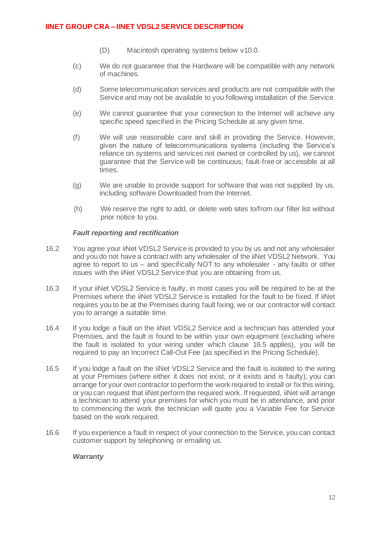- (D) Macintosh operating systems below v10.0.
- (c) We do not guarantee that the Hardware will be compatible with any network of machines.
- (d) Some telecommunication services and products are not compatible with the Service and may not be available to you following installation of the Service.
- (e) We cannot guarantee that your connection to the Internet will achieve any specific speed specified in the Pricing Schedule at any given time.
- (f) We will use reasonable care and skill in providing the Service. However, given the nature of telecommunications systems (including the Service's reliance on systems and services not owned or controlled by us), we cannot guarantee that the Service will be continuous, fault-free or accessible at all times.
- (g) We are unable to provide support for software that was not supplied by us, including software Downloaded from the Internet.
- (h) We reserve the right to add, or delete web sites to/from our filter list without prior notice to you.

### *Fault reporting and rectification*

- 16.2 You agree your iiNet VDSL2 Service is provided to you by us and not any wholesaler and you do not have a contract with any wholesaler of the iiNet VDSL2 Network. You agree to report to us – and specifically NOT to any wholesaler - any faults or other issues with the iiNet VDSL2 Service that you are obtaining from us.
- 16.3 If your iiNet VDSL2 Service is faulty, in most cases you will be required to be at the Premises where the iiNet VDSL2 Service is installed for the fault to be fixed. If iiNet requires you to be at the Premises during fault fixing, we or our contractor will contact you to arrange a suitable time.
- 16.4 If you lodge a fault on the iiNet VDSL2 Service and a technician has attended your Premises, and the fault is found to be within your own equipment (excluding where the fault is isolated to your wiring under which clause [16.5](#page-11-0) applies), you will be required to pay an Incorrect Call-Out Fee (as specified in the Pricing Schedule).
- <span id="page-11-0"></span>16.5 If you lodge a fault on the iiNet VDSL2 Service and the fault is isolated to the wiring at your Premises (where either it does not exist, or it exists and is faulty), you can arrange for your own contractor to perform the work required to install or fix this wiring, or you can request that iiNet perform the required work. If requested, iiNet will arrange a technician to attend your premises for which you must be in attendance, and prior to commencing the work the technician will quote you a Variable Fee for Service based on the work required.
- 16.6 If you experience a fault in respect of your connection to the Service, you can contact customer support by telephoning or emailing us.

### *Warranty*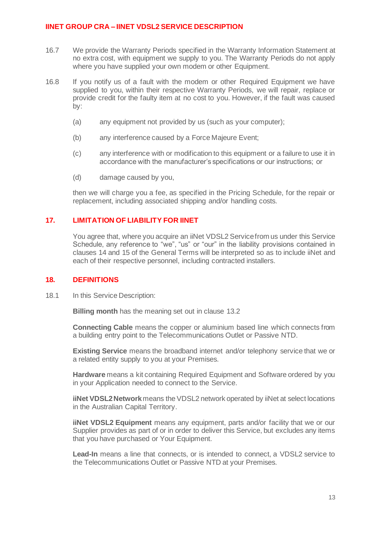- 16.7 We provide the Warranty Periods specified in the Warranty Information Statement at no extra cost, with equipment we supply to you. The Warranty Periods do not apply where you have supplied your own modem or other Equipment.
- 16.8 If you notify us of a fault with the modem or other Required Equipment we have supplied to you, within their respective Warranty Periods, we will repair, replace or provide credit for the faulty item at no cost to you. However, if the fault was caused by:
	- (a) any equipment not provided by us (such as your computer);
	- (b) any interference caused by a Force Majeure Event;
	- (c) any interference with or modification to this equipment or a failure to use it in accordance with the manufacturer's specifications or our instructions; or
	- (d) damage caused by you,

then we will charge you a fee, as specified in the Pricing Schedule, for the repair or replacement, including associated shipping and/or handling costs.

## **17. LIMITATION OF LIABILITY FOR IINET**

You agree that, where you acquire an iiNet VDSL2 Service from us under this Service Schedule, any reference to "we", "us" or "our" in the liability provisions contained in clauses 14 and 15 of the General Terms will be interpreted so as to include iiNet and each of their respective personnel, including contracted installers.

### **18. DEFINITIONS**

18.1 In this Service Description:

**Billing month** has the meaning set out in clause 13.2

**Connecting Cable** means the copper or aluminium based line which connects from a building entry point to the Telecommunications Outlet or Passive NTD.

**Existing Service** means the broadband internet and/or telephony service that we or a related entity supply to you at your Premises.

**Hardware** means a kit containing Required Equipment and Software ordered by you in your Application needed to connect to the Service.

**iiNet VDSL2Network** means the VDSL2 network operated by iiNet at select locations in the Australian Capital Territory.

**iiNet VDSL2 Equipment** means any equipment, parts and/or facility that we or our Supplier provides as part of or in order to deliver this Service, but excludes any items that you have purchased or Your Equipment.

**Lead-In** means a line that connects, or is intended to connect, a VDSL2 service to the Telecommunications Outlet or Passive NTD at your Premises.